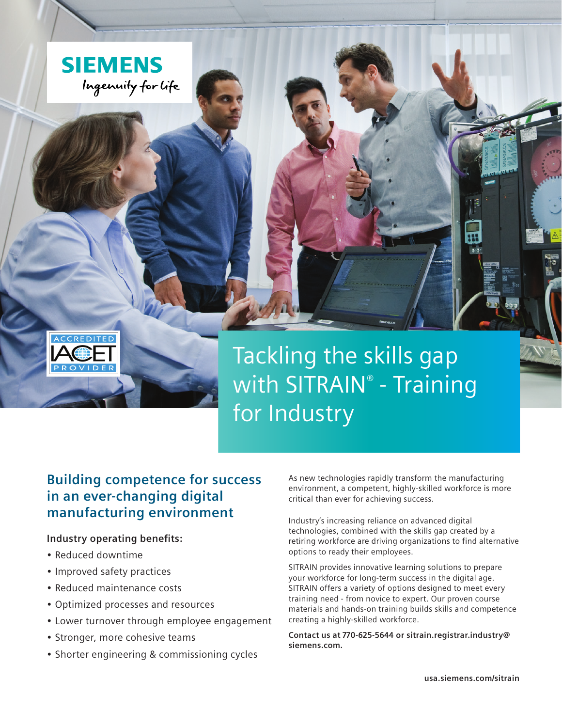



# **Building competence for success in an ever-changing digital manufacturing environment**

# **Industry operating benefits:**

• Reduced downtime

ACCREDITE

- Improved safety practices
- • Reduced maintenance costs
- • Optimized processes and resources
- Lower turnover through employee engagement
- Stronger, more cohesive teams
- Shorter engineering & commissioning cycles

As new technologies rapidly transform the manufacturing environment, a competent, highly-skilled workforce is more critical than ever for achieving success.

Industry's increasing reliance on advanced digital technologies, combined with the skills gap created by a retiring workforce are driving organizations to find alternative options to ready their employees.

SITRAIN provides innovative learning solutions to prepare your workforce for long-term success in the digital age. SITRAIN offers a variety of options designed to meet every training need - from novice to expert. Our proven course materials and hands-on training builds skills and competence creating a highly-skilled workforce.

**Contact us at 770-625-5644 or sitrain.registrar.industry@ siemens.com.**